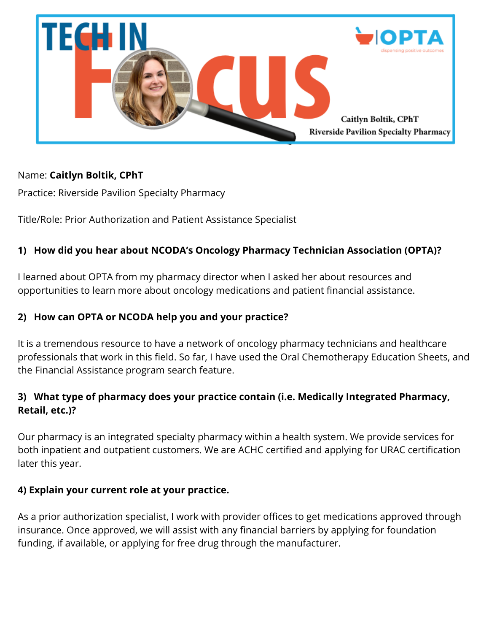

### Name: **Caitlyn Boltik, CPhT**

Practice: Riverside Pavilion Specialty Pharmacy

Title/Role: Prior Authorization and Patient Assistance Specialist

# **1) How did you hear about NCODA's Oncology Pharmacy Technician Association (OPTA)?**

I learned about OPTA from my pharmacy director when I asked her about resources and opportunities to learn more about oncology medications and patient financial assistance.

### **2) How can OPTA or NCODA help you and your practice?**

It is a tremendous resource to have a network of oncology pharmacy technicians and healthcare professionals that work in this field. So far, I have used the Oral Chemotherapy Education Sheets, and the Financial Assistance program search feature.

## **3) What type of pharmacy does your practice contain (i.e. Medically Integrated Pharmacy, Retail, etc.)?**

Our pharmacy is an integrated specialty pharmacy within a health system. We provide services for both inpatient and outpatient customers. We are ACHC certified and applying for URAC certification later this year.

### **4) Explain your current role at your practice.**

As a prior authorization specialist, I work with provider offices to get medications approved through insurance. Once approved, we will assist with any financial barriers by applying for foundation funding, if available, or applying for free drug through the manufacturer.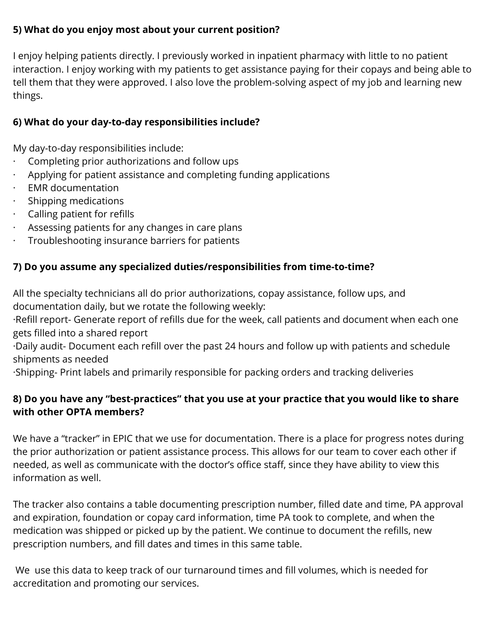## **5) What do you enjoy most about your current position?**

I enjoy helping patients directly. I previously worked in inpatient pharmacy with little to no patient interaction. I enjoy working with my patients to get assistance paying for their copays and being able to tell them that they were approved. I also love the problem-solving aspect of my job and learning new things.

# **6) What do your day-to-day responsibilities include?**

My day-to-day responsibilities include:

- · Completing prior authorizations and follow ups
- · Applying for patient assistance and completing funding applications
- · EMR documentation
- · Shipping medications
- · Calling patient for refills
- Assessing patients for any changes in care plans
- · Troubleshooting insurance barriers for patients

# **7) Do you assume any specialized duties/responsibilities from time-to-time?**

All the specialty technicians all do prior authorizations, copay assistance, follow ups, and documentation daily, but we rotate the following weekly:

·Refill report- Generate report of refills due for the week, call patients and document when each one gets filled into a shared report

·Daily audit- Document each refill over the past 24 hours and follow up with patients and schedule shipments as needed

·Shipping- Print labels and primarily responsible for packing orders and tracking deliveries

# **8) Do you have any "best-practices" that you use at your practice that you would like to share with other OPTA members?**

We have a "tracker" in EPIC that we use for documentation. There is a place for progress notes during the prior authorization or patient assistance process. This allows for our team to cover each other if needed, as well as communicate with the doctor's office staff, since they have ability to view this information as well.

The tracker also contains a table documenting prescription number, filled date and time, PA approval and expiration, foundation or copay card information, time PA took to complete, and when the medication was shipped or picked up by the patient. We continue to document the refills, new prescription numbers, and fill dates and times in this same table.

We use this data to keep track of our turnaround times and fill volumes, which is needed for accreditation and promoting our services.